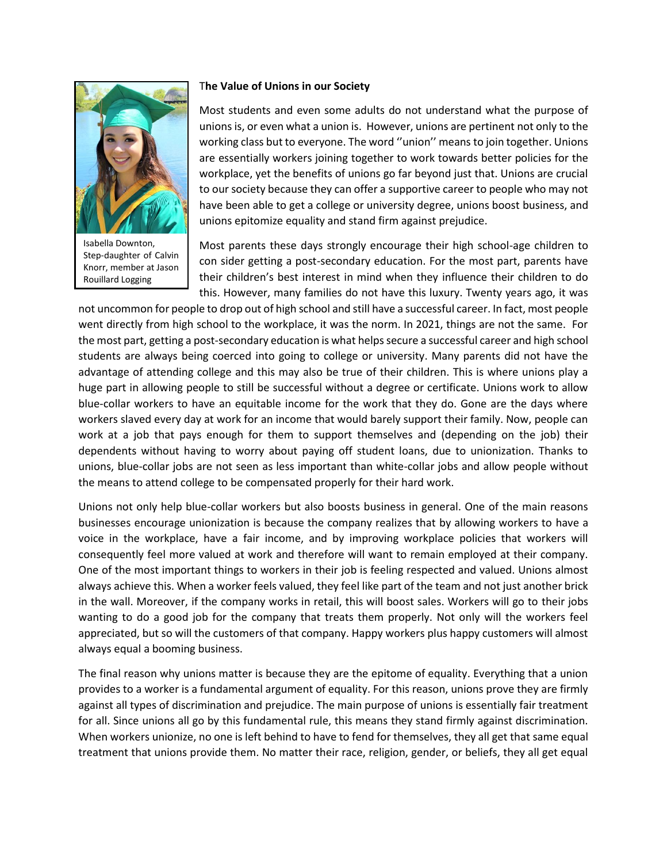

Isabella Downton, Step-daughter of Calvin Knorr, member at Jason Rouillard Logging

## T**he Value of Unions in our Society**

Most students and even some adults do not understand what the purpose of unions is, or even what a union is. However, unions are pertinent not only to the working class but to everyone. The word ''union'' means to join together. Unions are essentially workers joining together to work towards better policies for the workplace, yet the benefits of unions go far beyond just that. Unions are crucial to our society because they can offer a supportive career to people who may not have been able to get a college or university degree, unions boost business, and unions epitomize equality and stand firm against prejudice.

Most parents these days strongly encourage their high school-age children to con sider getting a post-secondary education. For the most part, parents have their children's best interest in mind when they influence their children to do this. However, many families do not have this luxury. Twenty years ago, it was

not uncommon for people to drop out of high school and still have a successful career. In fact, most people went directly from high school to the workplace, it was the norm. In 2021, things are not the same. For the most part, getting a post-secondary education is what helps secure a successful career and high school students are always being coerced into going to college or university. Many parents did not have the advantage of attending college and this may also be true of their children. This is where unions play a huge part in allowing people to still be successful without a degree or certificate. Unions work to allow blue-collar workers to have an equitable income for the work that they do. Gone are the days where workers slaved every day at work for an income that would barely support their family. Now, people can work at a job that pays enough for them to support themselves and (depending on the job) their dependents without having to worry about paying off student loans, due to unionization. Thanks to unions, blue-collar jobs are not seen as less important than white-collar jobs and allow people without the means to attend college to be compensated properly for their hard work.

Unions not only help blue-collar workers but also boosts business in general. One of the main reasons businesses encourage unionization is because the company realizes that by allowing workers to have a voice in the workplace, have a fair income, and by improving workplace policies that workers will consequently feel more valued at work and therefore will want to remain employed at their company. One of the most important things to workers in their job is feeling respected and valued. Unions almost always achieve this. When a worker feels valued, they feel like part of the team and not just another brick in the wall. Moreover, if the company works in retail, this will boost sales. Workers will go to their jobs wanting to do a good job for the company that treats them properly. Not only will the workers feel appreciated, but so will the customers of that company. Happy workers plus happy customers will almost always equal a booming business.

The final reason why unions matter is because they are the epitome of equality. Everything that a union provides to a worker is a fundamental argument of equality. For this reason, unions prove they are firmly against all types of discrimination and prejudice. The main purpose of unions is essentially fair treatment for all. Since unions all go by this fundamental rule, this means they stand firmly against discrimination. When workers unionize, no one is left behind to have to fend for themselves, they all get that same equal treatment that unions provide them. No matter their race, religion, gender, or beliefs, they all get equal